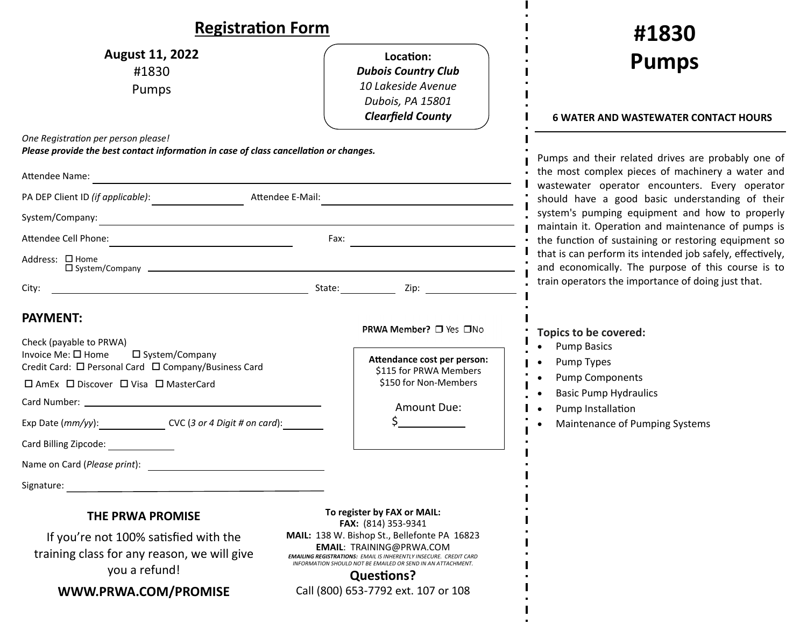| <b>Registration Form</b>                                                                                                                                                                                                                                                                                        |                                                                                                                                                                                                                                                                                                                                             |                                                                                                                         |                                                                                                                                                                                   |  |
|-----------------------------------------------------------------------------------------------------------------------------------------------------------------------------------------------------------------------------------------------------------------------------------------------------------------|---------------------------------------------------------------------------------------------------------------------------------------------------------------------------------------------------------------------------------------------------------------------------------------------------------------------------------------------|-------------------------------------------------------------------------------------------------------------------------|-----------------------------------------------------------------------------------------------------------------------------------------------------------------------------------|--|
| <b>August 11, 2022</b><br>#1830<br>Pumps                                                                                                                                                                                                                                                                        |                                                                                                                                                                                                                                                                                                                                             | Location:<br><b>Dubois Country Club</b><br>10 Lakeside Avenue<br>Dubois, PA 15801<br><b>Clearfield County</b>           | #1830<br><b>Pumps</b><br><b>6 WATER AND WASTEWATER CONTACT HOURS</b>                                                                                                              |  |
| One Registration per person please!<br>Please provide the best contact information in case of class cancellation or changes.<br>Attendee Name:                                                                                                                                                                  | <u> 1989 - Johann Barn, mars eta bat erroman erroman erroman erroman erroman erroman erroman erroman erroman err</u>                                                                                                                                                                                                                        |                                                                                                                         | Pumps and their related drives are probably one of<br>the most complex pieces of machinery a water and                                                                            |  |
| Attendee E-Mail:                                                                                                                                                                                                                                                                                                |                                                                                                                                                                                                                                                                                                                                             |                                                                                                                         | wastewater operator encounters. Every operator<br>should have a good basic understanding of their                                                                                 |  |
| System/Company:<br><u> 1980 - Johann Barn, amerikansk politiker (d. 1980)</u>                                                                                                                                                                                                                                   |                                                                                                                                                                                                                                                                                                                                             |                                                                                                                         | system's pumping equipment and how to properly<br>maintain it. Operation and maintenance of pumps is                                                                              |  |
| Attendee Cell Phone:<br>Fax:                                                                                                                                                                                                                                                                                    |                                                                                                                                                                                                                                                                                                                                             |                                                                                                                         | the function of sustaining or restoring equipment so                                                                                                                              |  |
| Address: □ Home                                                                                                                                                                                                                                                                                                 |                                                                                                                                                                                                                                                                                                                                             |                                                                                                                         | that is can perform its intended job safely, effectively,<br>and economically. The purpose of this course is to                                                                   |  |
|                                                                                                                                                                                                                                                                                                                 |                                                                                                                                                                                                                                                                                                                                             | State: <u>Zip: Zip:</u>                                                                                                 | train operators the importance of doing just that.                                                                                                                                |  |
| <b>PAYMENT:</b><br>Check (payable to PRWA)<br>Invoice Me: □ Home<br>□ System/Company<br>Credit Card: □ Personal Card □ Company/Business Card<br>□ AmEx □ Discover □ Visa □ MasterCard<br>Exp Date (mm/yy): CVC (3 or 4 Digit # on card):<br>Card Billing Zipcode:<br>Name on Card (Please print):<br>Signature: |                                                                                                                                                                                                                                                                                                                                             | PRWA Member? □ Yes □No<br>Attendance cost per person:<br>\$115 for PRWA Members<br>\$150 for Non-Members<br>Amount Due: | <b>Topics to be covered:</b><br><b>Pump Basics</b><br>Pump Types<br><b>Pump Components</b><br><b>Basic Pump Hydraulics</b><br>Pump Installation<br>Maintenance of Pumping Systems |  |
| THE PRWA PROMISE<br>If you're not 100% satisfied with the<br>training class for any reason, we will give<br>you a refund!<br><b>MAMAI DRMA COM/DROMICE</b>                                                                                                                                                      | To register by FAX or MAIL:<br>FAX: (814) 353-9341<br>MAIL: 138 W. Bishop St., Bellefonte PA 16823<br><b>EMAIL: TRAINING@PRWA.COM</b><br><b>EMAILING REGISTRATIONS: EMAIL IS INHERENTLY INSECURE. CREDIT CARD</b><br>INFORMATION SHOULD NOT BE EMAILED OR SEND IN AN ATTACHMENT.<br><b>Questions?</b><br>Call (800) 653-7792 ext 107 or 108 |                                                                                                                         |                                                                                                                                                                                   |  |

**WWW.PRWA.COM/PROMISE**

Call (800) 653‐7792 ext. 107 or 108

 $\blacksquare$  $\mathbf{I}$